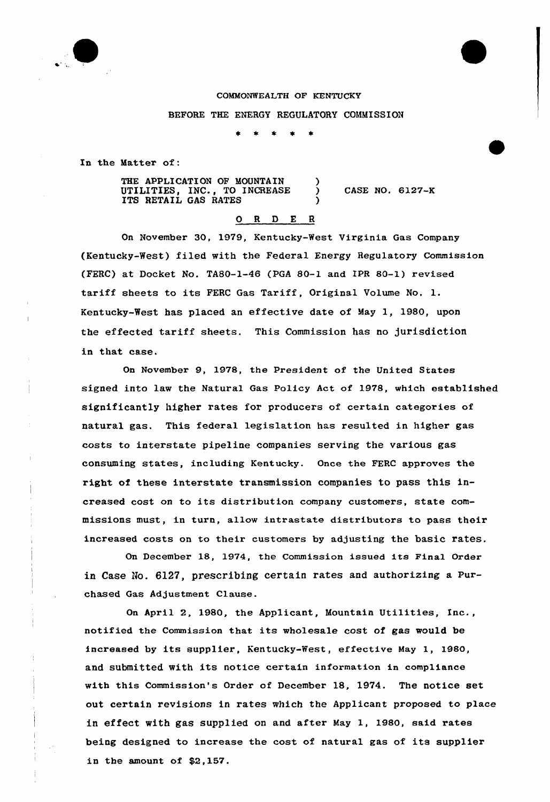

COMMONWEALTH OF KENTUCKY BEFORE THE ENERGY REGULATORY COMMISSION

 $\lambda$ 

)

In the Matter of:

THE APPLICATION OF MOUNTAIN UTILITIES, INC., TO INCREASE ITS RETAIL GAS RATES

) CASE NO. 6127-K

## 0 <sup>R</sup> <sup>D</sup> E <sup>R</sup>

On November 30, 1979, Kentucky-West Virginia Gas Company (Kentucky-West) filed with the Federal Energy Regulatory Commission (FERC) at Docket No. TA80-1-46 (PGA 80-1 and IPR 80-1) revised tariff sheets to its FERC Gas Tariff, Original Volume No. l. Kentucky-West has placed an effective date of May 1, 1980, upon the effected tariff sheets. This Commission has no jurisdiction in that case.

On November 9, 1978, the President of the United States signed into law the Natural Gas Policy Act of 1978, which established significantly higher rates for producers of certain categories of natural gas. This federal legislation has resulted in higher gas costs to interstate pipeline companies serving the various gas consuming states, including Kentucky. Once the FERC approves the right of these interstate transmission companies to pass this increased cost on to its distribution company customers, state commissions must, in turn, allow intrastate distributors to pass their increased costs on to their customers by adjusting the basic rates.

On December 18, 1974, the Commission issued its Final Order in Case No.  $6127$ , prescribing certain rates and authorizing a Purchased Gas Adjustment Clause.

On April 2, 1980, the Applicant, Mountain Utilities, Inc., notified the Commission that its wholesale cost of gas would be increased by its supplier, Kentucky-%est, effective May 1, 1980, and submitted with its notice certain information in compliance with this Commission's Order of December 18, 1974. The notice set out certain revisions in rates which the Applicant proposed to place in effect with gas supplied on and after May 1, 1980, said rates being designed to increase the cost of natural gas of its supplier in the amount of \$2,157.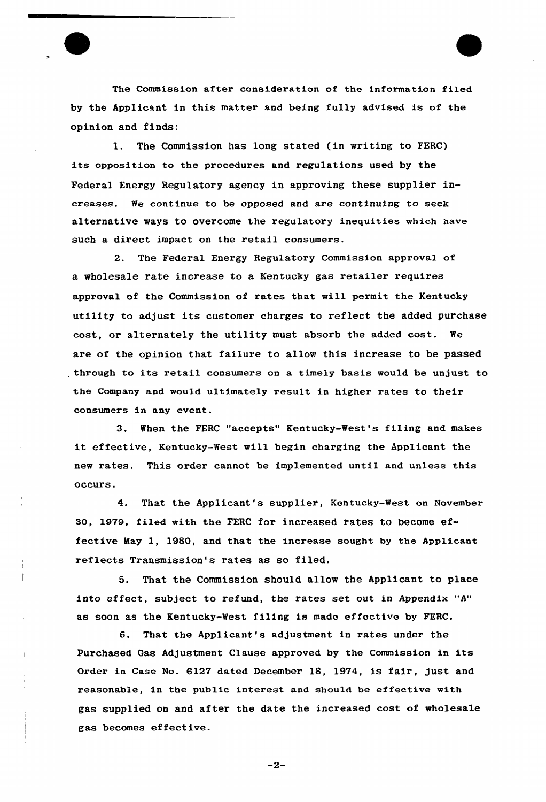The Commission after consideration of the information filed by the Applicant in this matter and being fully advised is of the opinion and finds:

1. The Commission has long stated (in writing to FERC) its opposition to the procedures and regulations used by the Federal Energy Regulatory agency in approving these supplier increases. We continue to be opposed and are continuing to seek alternative ways to overcome the regulatory inequities which have such a direct impact on the retail consumers.

2. The Federal Energy Regulatory Commission approval of a wholesale rate increase to a Kentucky gas retailer requires approval of the Commission of rates that will permit the Kentucky utility to adjust its customer charges to reflect the added purchase cost, or alternately the utility must absorb the added cost. We are of the opinion that failure to allow this increase to be passed through to its retail consumers on a timely basis would be unjust to the Company and would ultimately result in higher rates to their consumers in any event.

3. When the FERC "accepts" Kentucky-West's filing and makes it effective, Kentucky-West will begin charging the Applicant the new rates. This order cannot be implemented until and unless this occurs'.

4. That the Applicant's supplier, Kentucky-West on November 30, 1979, filed with the FERC for increased rates to become effective May 1, 198Q, and that the increase sought by the Applicant reflects Transmission's rates as so filed.

5. That the Commission should allow the Applicant to place into effect, subject to refund, the rates set out in Appendix "A" as soon as the Kentucky-West filing is made effective by FERC,

 $\overline{1}$ 

6. That the Applicant's adjustment in rates under the Purchased Gas Adjustment Clause approved by the Commission in its Order in Case No. 6127 dated December 18, 1974, is fair, just and reasonable, in the public interest and should be effective with gas supplied on and after the date the increased cost of wholesale gas becomes effective.

 $-2-$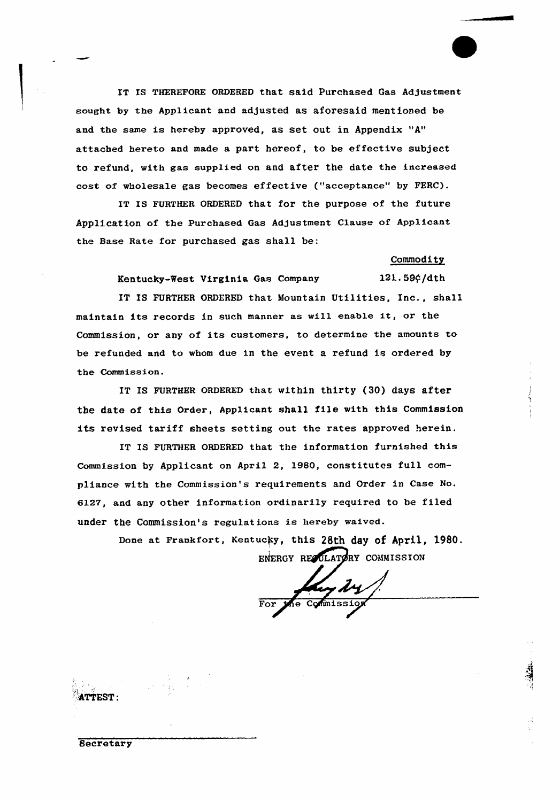IT IS THEREFORE ORDERED that said Purchased Gas Adjustment sought by the Applicant and adjusted as aforesaid mentioned be and the same is hereby approved, as set out in Appendix "A" attached hereto and made a part hereof, to be effective subject to refund, with gas supplied on and after the date the increased cost of wholesale gas becomes effective ("acceptance" by FERC).

IT IS FURTHER ORDERED that for the purpose of the future Application of the purchased Gas Adjustment Clause of Applicant the Base Rate fox purchased gas shall be:

## Commodity

Kentucky-West Virginia Gas Company 121.59¢/dth

IT IS FURTHER ORDERED that Mountain Utilities, Inc., shall maintain its records in such manner as will enable it, or the Commission, or any of its customers, to determine the amounts to be refunded and to whom due in the event a refund is ordered by the Commission.

IT IS FURTHER ORDERED that within thirty (30) days after the date of this Order, Applicant shall file with this Commission its revised tariff sheets setting out the rates approved herein.

IT IS FURTHER ORDERED that the information furnished this Commission by Applicant on April 2, 1980, constitutes full compliance with the Commission's requirements and Order in Case No. 6l27, and any other information ordinarily required to be filed under the Commission's regulations is hereby waived.

> Done at Frankfort, Kentucky, this 28th day of April, 1980. ENERGY REQULATORY COMMISSION

Commissi

*<u>Secretary</u>*